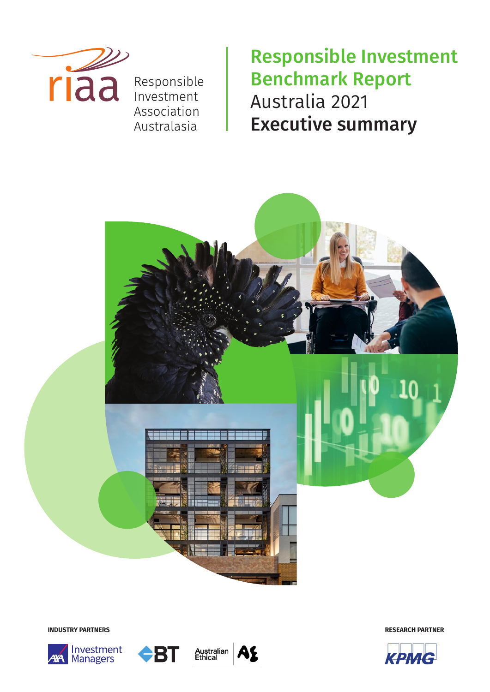

Responsible Investment Association Australasia

Responsible Investment Benchmark Report Australia 2021 Executive summary



**INDUSTRY PARTNERS**







**RESEARCH PARTNER**

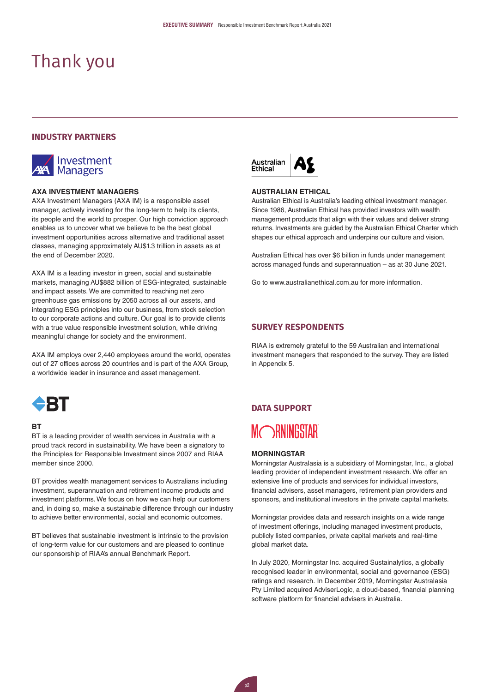# Thank you

# **INDUSTRY PARTNERS**



### **AXA INVESTMENT MANAGERS**

AXA Investment Managers (AXA IM) is a responsible asset manager, actively investing for the long-term to help its clients, its people and the world to prosper. Our high conviction approach enables us to uncover what we believe to be the best global investment opportunities across alternative and traditional asset classes, managing approximately AU\$1.3 trillion in assets as at the end of December 2020.

AXA IM is a leading investor in green, social and sustainable markets, managing AU\$882 billion of ESG-integrated, sustainable and impact assets. We are committed to reaching net zero greenhouse gas emissions by 2050 across all our assets, and integrating ESG principles into our business, from stock selection to our corporate actions and culture. Our goal is to provide clients with a true value responsible investment solution, while driving meaningful change for society and the environment.

AXA IM employs over 2,440 employees around the world, operates out of 27 offices across 20 countries and is part of the AXA Group, a worldwide leader in insurance and asset management.



# **BT**

BT is a leading provider of wealth services in Australia with a proud track record in sustainability. We have been a signatory to the Principles for Responsible Investment since 2007 and RIAA member since 2000.

BT provides wealth management services to Australians including investment, superannuation and retirement income products and investment platforms. We focus on how we can help our customers and, in doing so, make a sustainable difference through our industry to achieve better environmental, social and economic outcomes.

BT believes that sustainable investment is intrinsic to the provision of long-term value for our customers and are pleased to continue our sponsorship of RIAA's annual Benchmark Report.



#### **AUSTRALIAN ETHICAL**

Australian Ethical is Australia's leading ethical investment manager. Since 1986, Australian Ethical has provided investors with wealth management products that align with their values and deliver strong returns. Investments are guided by the Australian Ethical Charter which shapes our ethical approach and underpins our culture and vision.

Australian Ethical has over \$6 billion in funds under management across managed funds and superannuation – as at 30 June 2021.

Go to [www.australianethical.com.au](http://www.australianethical.com.au) for more information.

### **SURVEY RESPONDENTS**

RIAA is extremely grateful to the 59 Australian and international investment managers that responded to the survey. They are listed in Appendix 5.

# **DATA SUPPORT**

# **MORNINGSTAR**

## **MORNINGSTAR**

Morningstar Australasia is a subsidiary of Morningstar, Inc., a global leading provider of independent investment research. We offer an extensive line of products and services for individual investors, financial advisers, asset managers, retirement plan providers and sponsors, and institutional investors in the private capital markets.

Morningstar provides data and research insights on a wide range of investment offerings, including managed investment products, publicly listed companies, private capital markets and real-time global market data.

In July 2020, Morningstar Inc. acquired Sustainalytics, a globally recognised leader in environmental, social and governance (ESG) ratings and research. In December 2019, Morningstar Australasia Pty Limited acquired AdviserLogic, a cloud-based, financial planning software platform for financial advisers in Australia.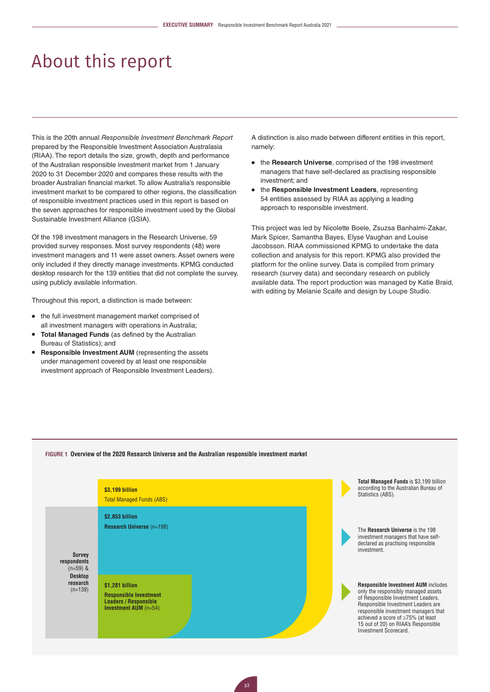# About this report

This is the 20th annual *Responsible Investment Benchmark Report* prepared by the Responsible Investment Association Australasia (RIAA). The report details the size, growth, depth and performance of the Australian responsible investment market from 1 January 2020 to 31 December 2020 and compares these results with the broader Australian financial market. To allow Australia's responsible investment market to be compared to other regions, the classification of responsible investment practices used in this report is based on the seven approaches for responsible investment used by the Global Sustainable Investment Alliance (GSIA).

Of the 198 investment managers in the Research Universe, 59 provided survey responses. Most survey respondents (48) were investment managers and 11 were asset owners. Asset owners were only included if they directly manage investments. KPMG conducted desktop research for the 139 entities that did not complete the survey, using publicly available information.

Throughout this report, a distinction is made between:

- the full investment management market comprised of all investment managers with operations in Australia;
- **Total Managed Funds** (as defined by the Australian Bureau of Statistics); and
- **Responsible Investment AUM** (representing the assets under management covered by at least one responsible investment approach of Responsible Investment Leaders).

A distinction is also made between different entities in this report, namely:

- the **Research Universe**, comprised of the 198 investment managers that have self-declared as practising responsible investment; and
- the **Responsible Investment Leaders**, representing 54 entities assessed by RIAA as applying a leading approach to responsible investment.

This project was led by Nicolette Boele, Zsuzsa Banhalmi-Zakar, Mark Spicer, Samantha Bayes, Elyse Vaughan and Louise Jacobsson. RIAA commissioned KPMG to undertake the data collection and analysis for this report. KPMG also provided the platform for the online survey. Data is compiled from primary research (survey data) and secondary research on publicly available data. The report production was managed by Katie Braid, with editing by Melanie Scaife and design by Loupe Studio.



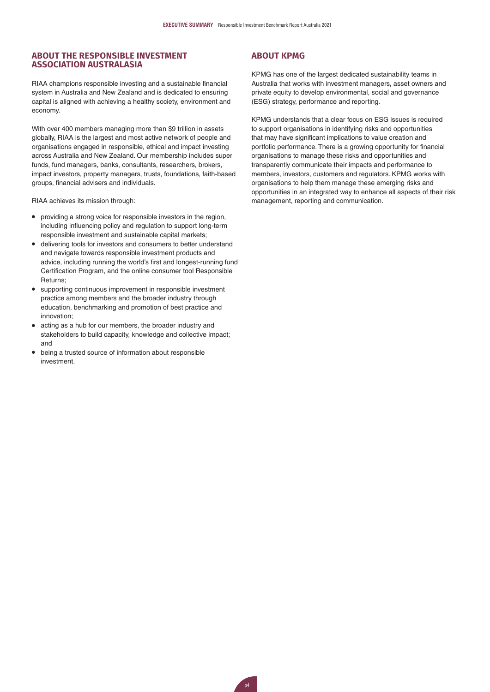# **ABOUT THE RESPONSIBLE INVESTMENT ASSOCIATION AUSTRALASIA**

RIAA champions responsible investing and a sustainable financial system in Australia and New Zealand and is dedicated to ensuring capital is aligned with achieving a healthy society, environment and economy.

With over 400 members managing more than \$9 trillion in assets globally, RIAA is the largest and most active network of people and organisations engaged in responsible, ethical and impact investing across Australia and New Zealand. Our membership includes super funds, fund managers, banks, consultants, researchers, brokers, impact investors, property managers, trusts, foundations, faith-based groups, financial advisers and individuals.

RIAA achieves its mission through:

- providing a strong voice for responsible investors in the region, including influencing policy and regulation to support long-term responsible investment and sustainable capital markets;
- delivering tools for investors and consumers to better understand and navigate towards responsible investment products and advice, including running the world's first and longest-running fund Certification Program, and the online consumer tool Responsible Returns;
- supporting continuous improvement in responsible investment practice among members and the broader industry through education, benchmarking and promotion of best practice and innovation;
- acting as a hub for our members, the broader industry and stakeholders to build capacity, knowledge and collective impact; and
- being a trusted source of information about responsible investment.

# **ABOUT KPMG**

KPMG has one of the largest dedicated sustainability teams in Australia that works with investment managers, asset owners and private equity to develop environmental, social and governance (ESG) strategy, performance and reporting.

KPMG understands that a clear focus on ESG issues is required to support organisations in identifying risks and opportunities that may have significant implications to value creation and portfolio performance. There is a growing opportunity for financial organisations to manage these risks and opportunities and transparently communicate their impacts and performance to members, investors, customers and regulators. KPMG works with organisations to help them manage these emerging risks and opportunities in an integrated way to enhance all aspects of their risk management, reporting and communication.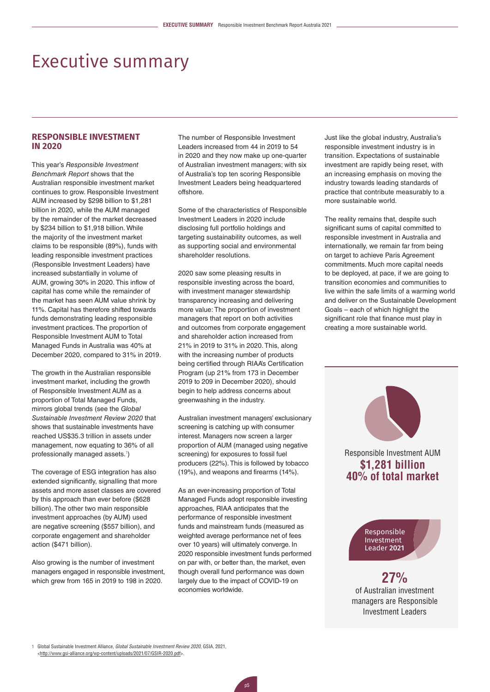# Executive summary

# **RESPONSIBLE INVESTMENT IN 2020**

This year's *Responsible Investment Benchmark Report* shows that the Australian responsible investment market continues to grow. Responsible Investment AUM increased by \$298 billion to \$1,281 billion in 2020, while the AUM managed by the remainder of the market decreased by \$234 billion to \$1,918 billion. While the majority of the investment market claims to be responsible (89%), funds with leading responsible investment practices (Responsible Investment Leaders) have increased substantially in volume of AUM, growing 30% in 2020. This inflow of capital has come while the remainder of the market has seen AUM value shrink by 11%. Capital has therefore shifted towards funds demonstrating leading responsible investment practices. The proportion of Responsible Investment AUM to Total Managed Funds in Australia was 40% at December 2020, compared to 31% in 2019.

The growth in the Australian responsible investment market, including the growth of Responsible Investment AUM as a proportion of Total Managed Funds, mirrors global trends (see the *Global Sustainable Investment Review 2020* that shows that sustainable investments have reached US\$35.3 trillion in assets under management, now equating to 36% of all professionally managed assets.<sup>[1](#page-4-0)</sup>)

The coverage of ESG integration has also extended significantly, signalling that more assets and more asset classes are covered by this approach than ever before (\$628 billion). The other two main responsible investment approaches (by AUM) used are negative screening (\$557 billion), and corporate engagement and shareholder action (\$471 billion).

Also growing is the number of investment managers engaged in responsible investment, which grew from 165 in 2019 to 198 in 2020.

The number of Responsible Investment Leaders increased from 44 in 2019 to 54 in 2020 and they now make up one-quarter of Australian investment managers; with six of Australia's top ten scoring Responsible Investment Leaders being headquartered offshore.

Some of the characteristics of Responsible Investment Leaders in 2020 include disclosing full portfolio holdings and targeting sustainability outcomes, as well as supporting social and environmental shareholder resolutions.

2020 saw some pleasing results in responsible investing across the board, with investment manager stewardship transparency increasing and delivering more value: The proportion of investment managers that report on both activities and outcomes from corporate engagement and shareholder action increased from 21% in 2019 to 31% in 2020. This, along with the increasing number of products being certified through RIAA's Certification Program (up 21% from 173 in December 2019 to 209 in December 2020), should begin to help address concerns about greenwashing in the industry.

Australian investment managers' exclusionary screening is catching up with consumer interest. Managers now screen a larger proportion of AUM (managed using negative screening) for exposures to fossil fuel producers (22%). This is followed by tobacco (19%), and weapons and firearms (14%).

As an ever-increasing proportion of Total Managed Funds adopt responsible investing approaches, RIAA anticipates that the performance of responsible investment funds and mainstream funds (measured as weighted average performance net of fees over 10 years) will ultimately converge. In 2020 responsible investment funds performed on par with, or better than, the market, even though overall fund performance was down largely due to the impact of COVID-19 on economies worldwide.

Just like the global industry, Australia's responsible investment industry is in transition. Expectations of sustainable investment are rapidly being reset, with an increasing emphasis on moving the industry towards leading standards of practice that contribute measurably to a more sustainable world.

The reality remains that, despite such significant sums of capital committed to responsible investment in Australia and internationally, we remain far from being on target to achieve Paris Agreement commitments. Much more capital needs to be deployed, at pace, if we are going to transition economies and communities to live within the safe limits of a warming world and deliver on the Sustainable Development Goals – each of which highlight the significant role that finance must play in creating a more sustainable world.

> Responsible Investment AUM **\$1,281 billion 40% of total market**

> > Responsible Investment Leader 2021

**27%** of Australian investment managers are Responsible Investment Leaders

<span id="page-4-0"></span>1 Global Sustainable Investment Alliance, *Global Sustainable Investment Review 2020*, GSIA, 2021, <<http://www.gsi-alliance.org/wp-content/uploads/2021/07/GSIR-2020.pdf>>.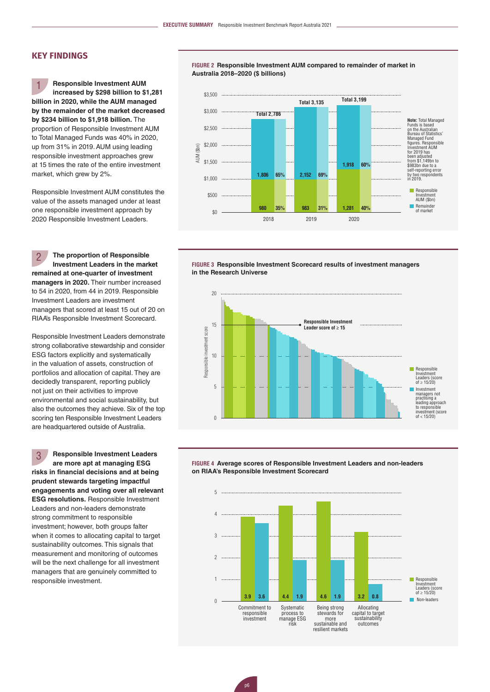# **KEY FINDINGS**

**Responsible Investment AUM increased by \$298 billion to \$1,281 billion in 2020, while the AUM managed by the remainder of the market decreased by \$234 billion to \$1,918 billion.** The proportion of Responsible Investment AUM to Total Managed Funds was 40% in 2020, up from 31% in 2019. AUM using leading responsible investment approaches grew at 15 times the rate of the entire investment market, which grew by 2%. 1

Responsible Investment AUM constitutes the value of the assets managed under at least one responsible investment approach by 2020 Responsible Investment Leaders.

**The proportion of Responsible Investment Leaders in the market remained at one-quarter of investment managers in 2020.** Their number increased to 54 in 2020, from 44 in 2019. Responsible Investment Leaders are investment managers that scored at least 15 out of 20 on RIAA's Responsible Investment Scorecard. 2

Responsible Investment Leaders demonstrate strong collaborative stewardship and consider ESG factors explicitly and systematically in the valuation of assets, construction of portfolios and allocation of capital. They are decidedly transparent, reporting publicly not just on their activities to improve environmental and social sustainability, but also the outcomes they achieve. Six of the top scoring ten Responsible Investment Leaders are headquartered outside of Australia.

**Responsible Investment Leaders are more apt at managing ESG risks in financial decisions and at being prudent stewards targeting impactful engagements and voting over all relevant ESG resolutions.** Responsible Investment Leaders and non-leaders demonstrate strong commitment to responsible investment; however, both groups falter when it comes to allocating capital to target sustainability outcomes. This signals that measurement and monitoring of outcomes will be the next challenge for all investment managers that are genuinely committed to responsible investment. 3

**FiGurE 2 Responsible Investment AUM compared to remainder of market in Australia 2018–2020 (\$ billions)**







**FiGurE 4 Average scores of Responsible Investment Leaders and non-leaders on RIAA's Responsible Investment Scorecard**

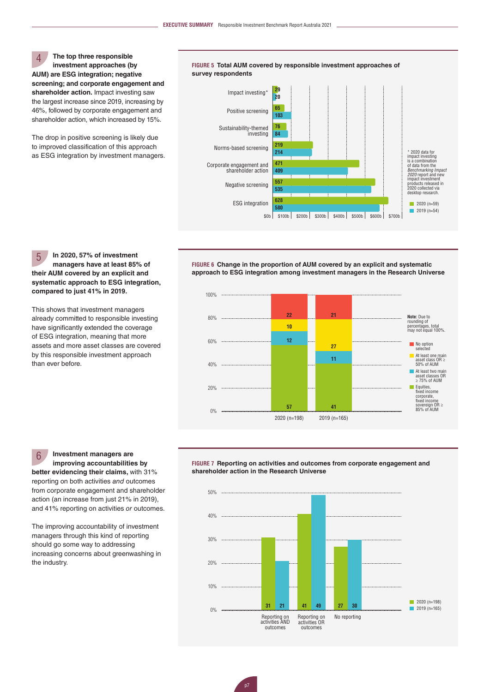**The top three responsible investment approaches (by AUM) are ESG integration; negative screening; and corporate engagement and shareholder action.** Impact investing saw the largest increase since 2019, increasing by 46%, followed by corporate engagement and shareholder action, which increased by 15%.  $\Delta$ 

The drop in positive screening is likely due to improved classification of this approach as ESG integration by investment managers.



**In 2020, 57% of investment managers have at least 85% of their AUM covered by an explicit and systematic approach to ESG integration, compared to just 41% in 2019.** 5

This shows that investment managers already committed to responsible investing have significantly extended the coverage of ESG integration, meaning that more assets and more asset classes are covered by this responsible investment approach than ever before.

**FiGurE 6 Change in the proportion of AUM covered by an explicit and systematic approach to ESG integration among investment managers in the Research Universe**



**Investment managers are improving accountabilities by**  6

**better evidencing their claims,** with 31% reporting on both activities *and* outcomes from corporate engagement and shareholder action (an increase from just 21% in 2019), and 41% reporting on activities *or* outcomes.

The improving accountability of investment managers through this kind of reporting should go some way to addressing increasing concerns about greenwashing in the industry.

**FiGurE 7 Reporting on activities and outcomes from corporate engagement and shareholder action in the Research Universe** 

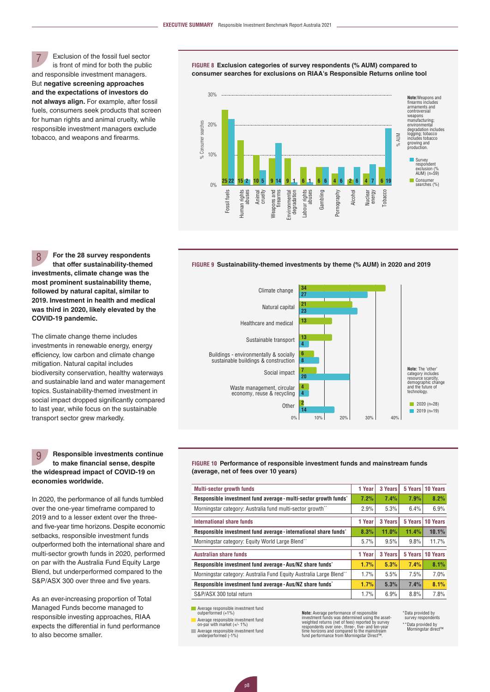Exclusion of the fossil fuel sector is front of mind for both the public and responsible investment managers. But **negative screening approaches and the expectations of investors do not always align.** For example, after fossil fuels, consumers seek products that screen for human rights and animal cruelty, while responsible investment managers exclude tobacco, and weapons and firearms. 7

**FiGurE 8 Exclusion categories of survey respondents (% AUM) compared to consumer searches for exclusions on RIAA's Responsible Returns online tool** 



#### **FiGurE 9 Sustainability-themed investments by theme (% AUM) in 2020 and 2019**

**For the 28 survey respondents that offer sustainability-themed investments, climate change was the most prominent sustainability theme, followed by natural capital, similar to 2019. Investment in health and medical was third in 2020, likely elevated by the COVID-19 pandemic.** 8

The climate change theme includes investments in renewable energy, energy efficiency, low carbon and climate change mitigation. Natural capital includes biodiversity conservation, healthy waterways and sustainable land and water management topics. Sustainability-themed investment in social impact dropped significantly compared to last year, while focus on the sustainable transport sector grew markedly.

#### **Responsible investments continue to make financial sense, despite the widespread impact of COVID-19 on economies worldwide.** 9

In 2020, the performance of all funds tumbled over the one-year timeframe compared to 2019 and to a lesser extent over the threeand five-year time horizons. Despite economic setbacks, responsible investment funds outperformed both the international share and multi-sector growth funds in 2020, performed on par with the Australia Fund Equity Large Blend, but underperformed compared to the S&P/ASX 300 over three and five years.

As an ever-increasing proportion of Total Managed Funds become managed to responsible investing approaches, RIAA expects the differential in fund performance to also become smaller.



**FiGurE 10 Performance of responsible investment funds and mainstream funds (average, net of fees over 10 years)** 

| <b>Multi-sector growth funds</b>                                   | 1 Year | 3 Years | 5 Years | 10 Years |
|--------------------------------------------------------------------|--------|---------|---------|----------|
| Responsible investment fund average - multi-sector growth funds'   | 7.2%   | 7.4%    | 7.9%    | 8.2%     |
| Morningstar category: Australia fund multi-sector growth**         | 2.9%   | 5.3%    | 6.4%    | 6.9%     |
| International share funds                                          | 1 Year | 3 Years | 5 Years | 10 Years |
| Responsible investment fund average - international share funds'   | 8.3%   | 11.0%   | 11.4%   | 10.1%    |
| Morningstar category: Equity World Large Blend**                   | 5.7%   | 9.5%    | 9.8%    | 11.7%    |
| <b>Australian share funds</b>                                      | 1 Year | 3 Years | 5 Years | 10 Years |
| Responsible investment fund average - Aus/NZ share funds'          | 1.7%   | 5.3%    | 7.4%    | 8.1%     |
| Morningstar category: Australia Fund Equity Australia Large Blend" | 1.7%   | 5.5%    | 7.5%    | 7.0%     |
| Responsible investment fund average - Aus/NZ share funds'          | 1.7%   | 5.3%    | 7.4%    | 8.1%     |
| S&P/ASX 300 total return                                           | 1.7%   | 6.9%    | 8.8%    | 7.8%     |

Average responsible investment fund outperformed (+1%)

Average responsible investment fund on-par with market (+/- 1%)

Average responsible investment fund underperformed (-1%)

**Note:** Average performance of responsible<br>investment funds was determined using the asset<br>weighted returns (net of fees) reported by survey<br>respondents over one-, three-, five- and ten-year<br>time horizons and compared to t

\* Data provided by survey respondents \*\* Data provided by Morningstar direct™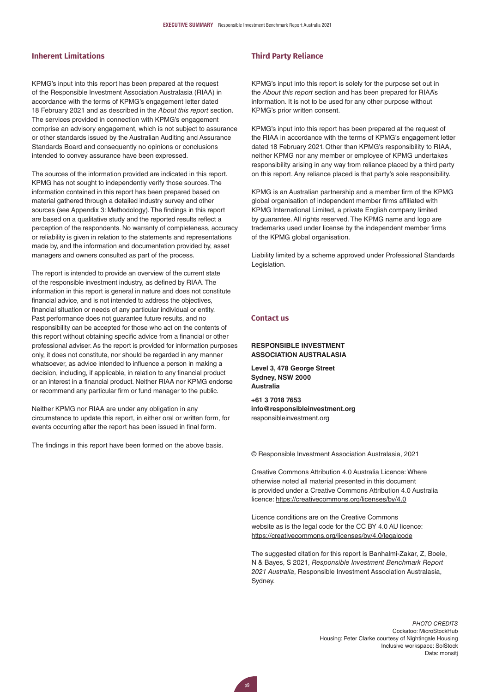# **Inherent Limitations**

KPMG's input into this report has been prepared at the request of the Responsible Investment Association Australasia (RIAA) in accordance with the terms of KPMG's engagement letter dated 18 February 2021 and as described in the *About this report* section. The services provided in connection with KPMG's engagement comprise an advisory engagement, which is not subject to assurance or other standards issued by the Australian Auditing and Assurance Standards Board and consequently no opinions or conclusions intended to convey assurance have been expressed.

The sources of the information provided are indicated in this report. KPMG has not sought to independently verify those sources. The information contained in this report has been prepared based on material gathered through a detailed industry survey and other sources (see Appendix 3: Methodology). The findings in this report are based on a qualitative study and the reported results reflect a perception of the respondents. No warranty of completeness, accuracy or reliability is given in relation to the statements and representations made by, and the information and documentation provided by, asset managers and owners consulted as part of the process.

The report is intended to provide an overview of the current state of the responsible investment industry, as defined by RIAA. The information in this report is general in nature and does not constitute financial advice, and is not intended to address the objectives, financial situation or needs of any particular individual or entity. Past performance does not guarantee future results, and no responsibility can be accepted for those who act on the contents of this report without obtaining specific advice from a financial or other professional adviser. As the report is provided for information purposes only, it does not constitute, nor should be regarded in any manner whatsoever, as advice intended to influence a person in making a decision, including, if applicable, in relation to any financial product or an interest in a financial product. Neither RIAA nor KPMG endorse or recommend any particular firm or fund manager to the public.

Neither KPMG nor RIAA are under any obligation in any circumstance to update this report, in either oral or written form, for events occurring after the report has been issued in final form.

The findings in this report have been formed on the above basis.

### **Third Party Reliance**

KPMG's input into this report is solely for the purpose set out in the *About this report* section and has been prepared for RIAA's information. It is not to be used for any other purpose without KPMG's prior written consent.

KPMG's input into this report has been prepared at the request of the RIAA in accordance with the terms of KPMG's engagement letter dated 18 February 2021. Other than KPMG's responsibility to RIAA, neither KPMG nor any member or employee of KPMG undertakes responsibility arising in any way from reliance placed by a third party on this report. Any reliance placed is that party's sole responsibility.

KPMG is an Australian partnership and a member firm of the KPMG global organisation of independent member firms affiliated with KPMG International Limited, a private English company limited by guarantee. All rights reserved. The KPMG name and logo are trademarks used under license by the independent member firms of the KPMG global organisation.

Liability limited by a scheme approved under Professional Standards Legislation.

# **Contact us**

### **RESPONSIBLE INVESTMENT ASSOCIATION AUSTRALASIA**

**Level 3, 478 George Street Sydney, NSW 2000 Australia**

**+61 3 7018 7653 [info@responsibleinvestment.org](mailto:info@responsibleinvestment.org)** [responsibleinvestment.org](http://www.responsibleinvestment.org)

© Responsible Investment Association Australasia, 2021

Creative Commons Attribution 4.0 Australia Licence: Where otherwise noted all material presented in this document is provided under a Creative Commons Attribution 4.0 Australia licence:<https://creativecommons.org/licenses/by/4.0>

Licence conditions are on the Creative Commons website as is the legal code for the CC BY 4.0 AU licence: <https://creativecommons.org/licenses/by/4.0/legalcode>

The suggested citation for this report is Banhalmi-Zakar, Z, Boele, N & Bayes, S 2021, *Responsible Investment Benchmark Report 2021 Australia*, Responsible Investment Association Australasia, Sydney.

> *PHOTO CREDITS* Cockatoo: MicroStockHub Housing: Peter Clarke courtesy of Nightingale Housing Inclusive workspace: SolStock Data: monsitj